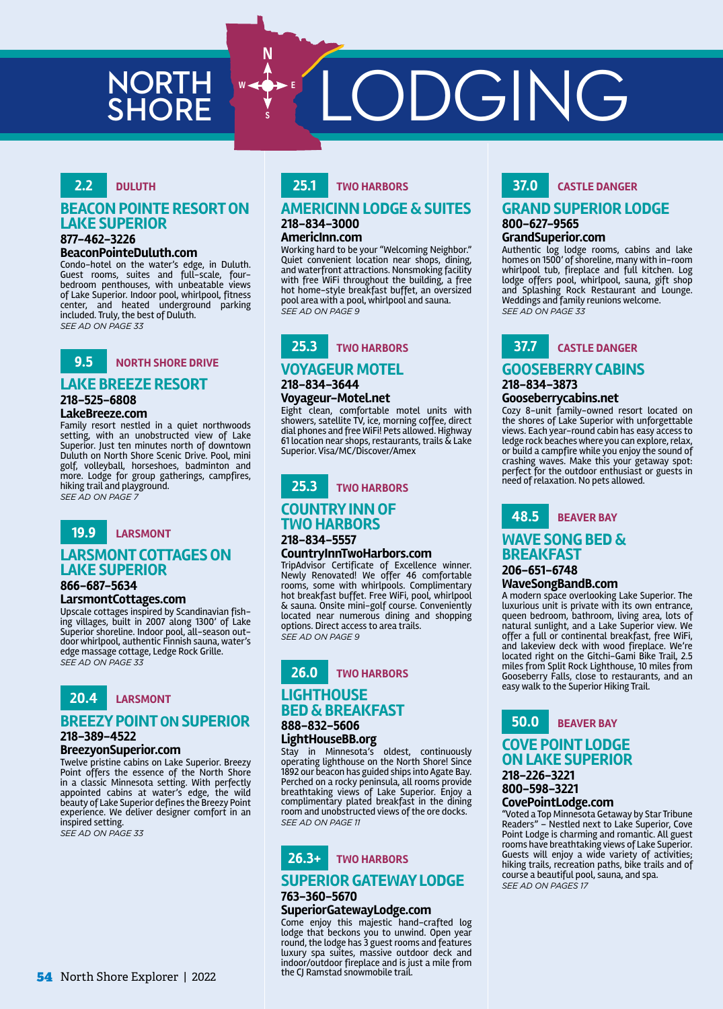# **NORTH<br>SHORE**

**SHORE** LODGING

## **2.2 DULUTH**

#### **BEACON POINTE RESORT ON LAKE SUPERIOR 877-462-3226**

#### **BeaconPointeDuluth.com**

Condo-hotel on the water's edge, in Duluth. Guest rooms, suites and full-scale, fourbedroom penthouses, with unbeatable views of Lake Superior. Indoor pool, whirlpool, fitness center, and heated underground parking included. Truly, the best of Duluth. *SEE AD ON PAGE 33*



## **LAKE BREEZE RESORT**

**218-525-6808**

#### **LakeBreeze.com**

Family resort nestled in a quiet northwoods setting, with an unobstructed view of Lake Superior. Just ten minutes north of downtown Duluth on North Shore Scenic Drive. Pool, mini golf, volleyball, horseshoes, badminton and more. Lodge for group gatherings, campfires, hiking trail and playground. **SEE AD ON PAGE** 



## **LARSMONT COTTAGES ON LAKE SUPERIOR**

## **866-687-5634**

## **LarsmontCottages.com**

Upscale cottages inspired by Scandinavian fish-ing villages, built in 2007 along 1300' of Lake Superior shoreline. Indoor pool, all-season outdoor whirlpool, authentic Finnish sauna, water's edge massage cottage, Ledge Rock Grille. *SEE AD ON PAGE 33*



## **BREEZY POINT ON SUPERIOR**

#### **218-389-4522 BreezyonSuperior.com**

Twelve pristine cabins on Lake Superior. Breezy Point offers the essence of the North Shore in a classic Minnesota setting. With perfectly appointed cabins at water's edge, the wild beauty of Lake Superior defines the Breezy Point experience. We deliver designer comfort in an inspired setting.

*SEE AD ON PAGE 33*

## **25.1 TWO HARBORS**

## **AMERICINN LODGE & SUITES 218-834-3000**

#### **AmericInn.com**

**N**

**S**

Working hard to be your "Welcoming Neighbor." Quiet convenient location near shops, dining, and waterfront attractions. Nonsmoking facility with free WiFi throughout the building, a free hot home-style breakfast buffet, an oversized pool area with a pool, whirlpool and sauna. *SEE AD ON PAGE 9*



## **VOYAGEUR MOTEL 218-834-3644**

#### **Voyageur-Motel.net**

Eight clean, comfortable motel units with showers, satellite TV, ice, morning coffee, direct dial phones and free WiFi! Pets allowed. Highway 61 location near shops, restaurants, trails & Lake Superior. Visa/MC/Discover/Amex



## **COUNTRY INN OF TWO HARBORS**

#### **218-834-5557 CountryInnTwoHarbors.com**

TripAdvisor Certificate of Excellence winner. Newly Renovated! We offer 46 comfortable rooms, some with whirlpools. Complimentary hot breakfast buffet. Free WiFi, pool, whirlpool & sauna. Onsite mini-golf course. Conveniently located near numerous dining and shopping options. Direct access to area trails. *SEE AD ON PAGE 9*



# **BED & BREAKFAST**

**888-832-5606 LightHouseBB.org**

Stay in Minnesota's oldest, continuously operating lighthouse on the North Shore! Since 1892 our beacon has guided ships into Agate Bay. Perched on a rocky peninsula, all rooms provide breathtaking views of Lake Superior. Enjoy a complimentary plated breakfast in the dining room and unobstructed views of the ore docks. *SEE AD ON PAGE 11*

# **26.3+ TWO HARBORS**

## **SUPERIOR GATEWAY LODGE**

## **763-360-5670**

## **SuperiorGatewayLodge.com**

Come enjoy this majestic hand-crafted log lodge that beckons you to unwind. Open year round, the lodge has 3 guest rooms and features luxury spa suites, massive outdoor deck and indoor/outdoor fireplace and is just a mile from the CJ Ramstad snowmobile trail.

## **37.0 CASTLE DANGER**

#### **GRAND SUPERIOR LODGE 800-627-9565**

#### **GrandSuperior.com**

Authentic log lodge rooms, cabins and lake homes on 1500' of shoreline, many with in-room whirlpool tub, fireplace and full kitchen. Log lodge offers pool, whirlpool, sauna, gift shop and Splashing Rock Restaurant and Lounge. Weddings and family reunions welcome. *SEE AD ON PAGE 33*



## **GOOSEBERRY CABINS 218-834-3873**

#### **Gooseberrycabins.net**

Cozy 8-unit family-owned resort located on the shores of Lake Superior with unforgettable views. Each year-round cabin has easy access to ledge rock beaches where you can explore, relax, or build a campfire while you enjoy the sound of crashing waves. Make this your getaway spot: perfect for the outdoor enthusiast or guests in need of relaxation. No pets allowed.



## **WAVE SONG BED & BREAKFAST**

#### **206-651-6748 WaveSongBandB.com**

A modern space overlooking Lake Superior. The luxurious unit is private with its own entrance, queen bedroom, bathroom, living area, lots of natural sunlight, and a Lake Superior view. We offer a full or continental breakfast, free WiFi, and lakeview deck with wood fireplace. We're located right on the Gitchi-Gami Bike Trail, 2.5 miles from Split Rock Lighthouse, 10 miles from Gooseberry Falls, close to restaurants, and an easy walk to the Superior Hiking Trail.



#### **COVE POINT LODGE ON LAKE SUPERIOR 218-226-3221 800-598-3221**

#### **CovePointLodge.com**

"Voted a Top Minnesota Getaway by Star Tribune Readers" – Nestled next to Lake Superior, Cove Point Lodge is charming and romantic. All guest rooms have breathtaking views of Lake Superior. Guests will enjoy a wide variety of activities; hiking trails, recreation paths, bike trails and of course a beautiful pool, sauna, and spa. *SEE AD ON PAGES 17*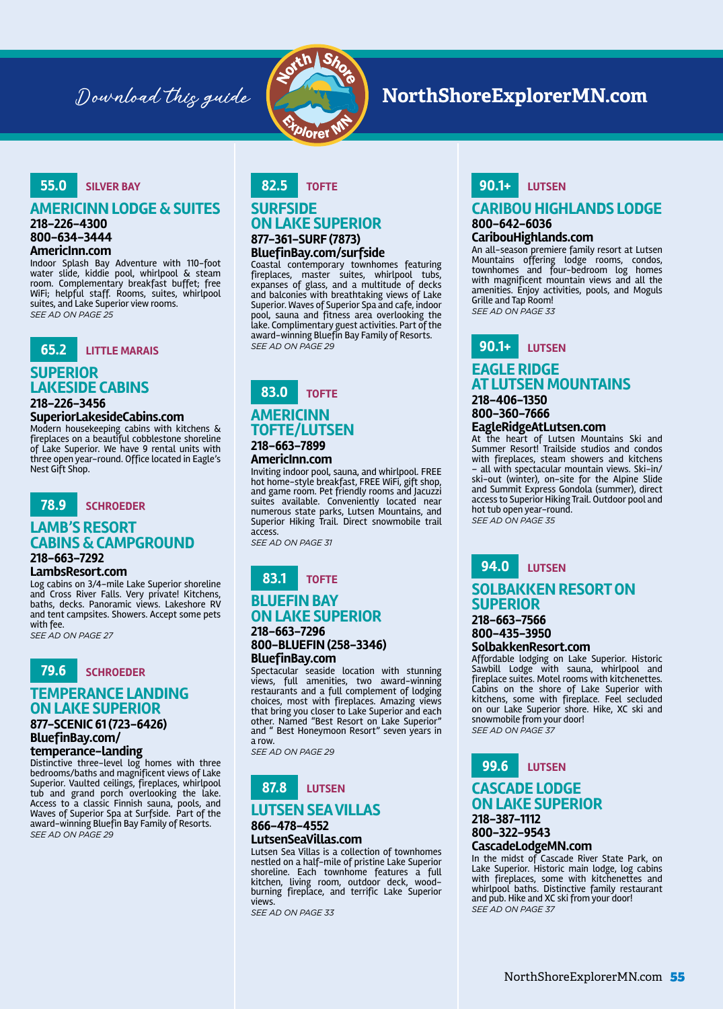

## Download this guide **NorthShoreExplorerMN.com**

## **55.0 SILVER BAY**

#### **AMERICINN LODGE & SUITES**

**218-226-4300**

#### **800-634-3444 AmericInn.com**

Indoor Splash Bay Adventure with 110-foot water slide, kiddie pool, whirlpool & steam room. Complementary breakfast buffet; free WiFi; helpful staff. Rooms, suites, whirlpool suites, and Lake Superior view rooms. *SEE AD ON PAGE 25*



## **SUPERIOR LAKESIDE CABINS**

#### **218-226-3456**

#### **SuperiorLakesideCabins.com**

Modern housekeeping cabins with kitchens & fireplaces on a beautiful cobblestone shoreline of Lake Superior. We have 9 rental units with three open year-round. Office located in Eagle's Nest Gift Shop.



## **LAMB'S RESORT CABINS & CAMPGROUND**

## **218-663-7292**

#### **LambsResort.com**

Log cabins on 3/4-mile Lake Superior shoreline and Cross River Falls. Very private! Kitchens, baths, decks. Panoramic views. Lakeshore RV and tent campsites. Showers. Accept some pets with fee.

*SEE AD ON PAGE 27*



## **TEMPERANCE LANDING ON LAKE SUPERIOR**

#### **877-SCENIC 61 (723-6426) BluefinBay.com/**

**temperance-landing**

Distinctive three-level log homes with three bedrooms/baths and magnificent views of Lake Superior. Vaulted ceilings, fireplaces, whirlpool tub and grand porch overlooking the lake. Access to a classic Finnish sauna, pools, and Waves of Superior Spa at Surfside. Part of the award-winning Bluefin Bay Family of Resorts. *SEE AD ON PAGE 29*

#### **82.5 TOFTE**

#### **SURFSIDE ON LAKE SUPERIOR 877-361-SURF (7873) BluefinBay.com/surfside**

Coastal contemporary townhomes featuring fireplaces, master suites, whirlpool tubs, expanses of glass, and a multitude of decks and balconies with breathtaking views of Lake Superior. Waves of Superior Spa and cafe, indoor pool, sauna and fitness area overlooking the lake. Complimentary guest activities. Part of the award-winning Bluefin Bay Family of Resorts. *SEE AD ON PAGE 29*

## **83.0 TOFTE AMERICINN TOFTE/LUTSEN 218-663-7899**

## **AmericInn.com**

Inviting indoor pool, sauna, and whirlpool. FREE hot home-style breakfast, FREE WiFi, gift shop, and game room. Pet friendly rooms and Jacuzzi suites available. Conveniently located near numerous state parks, Lutsen Mountains, and Superior Hiking Trail. Direct snowmobile trail access.

*SEE AD ON PAGE 31*

## **83.1 TOFTE BLUEFIN BAY ON LAKE SUPERIOR**

#### **218-663-7296 800-BLUEFIN (258-3346) BluefinBay.com**

Spectacular seaside location with stunning views, full amenities, two award-winning restaurants and a full complement of lodging choices, most with fireplaces. Amazing views that bring you closer to Lake Superior and each other. Named "Best Resort on Lake Superior" and " Best Honeymoon Resort" seven years in a row.

*SEE AD ON PAGE 29*

# **87.8 LUTSEN**

## **LUTSEN SEA VILLAS**

#### **866-478-4552 LutsenSeaVillas.com**

Lutsen Sea Villas is a collection of townhomes nestled on a half-mile of pristine Lake Superior shoreline. Each townhome features a full kitchen, living room, outdoor deck, wood-burning fireplace, and terrific Lake Superior views.

*SEE AD ON PAGE 33*

## **90.1+ LUTSEN**

#### **CARIBOU HIGHLANDS LODGE 800-642-6036**

#### **CaribouHighlands.com**

An all-season premiere family resort at Lutsen Mountains offering lodge rooms, condos, townhomes and four-bedroom log homes with magnificent mountain views and all the amenities. Enjoy activities, pools, and Moguls Grille and Tap Room! *SEE AD ON PAGE 33*



#### **EAGLE RIDGE AT LUTSEN MOUNTAINS 218-406-1350**

#### **800-360-7666 EagleRidgeAtLutsen.com**

At the heart of Lutsen Mountains Ski and Summer Resort! Trailside studios and condos with fireplaces, steam showers and kitchens – all with spectacular mountain views. Ski-in/ ski-out (winter), on-site for the Alpine Slide and Summit Express Gondola (summer), direct access to Superior Hiking Trail. Outdoor pool and hot tub open year-round. *SEE AD ON PAGE 35*

**94.0 LUTSEN**

## **SOLBAKKEN RESORT ON SUPERIOR**

#### **218-663-7566 800-435-3950**

#### **SolbakkenResort.com**

Affordable lodging on Lake Superior. Historic Sawbill Lodge with sauna, whirlpool and fireplace suites. Motel rooms with kitchenettes. Cabins on the shore of Lake Superior with kitchens, some with fireplace. Feel secluded on our Lake Superior shore. Hike, XC ski and snowmobile from your door! *SEE AD ON PAGE 37*

**99.6 LUTSEN**

#### **CASCADE LODGE ON LAKE SUPERIOR 218-387-1112**

**800-322-9543 CascadeLodgeMN.com**

In the midst of Cascade River State Park, on Lake Superior. Historic main lodge, log cabins with fireplaces, some with kitchenettes and whirlpool baths. Distinctive family restaurant and pub. Hike and XC ski from your door! *SEE AD ON PAGE 37*